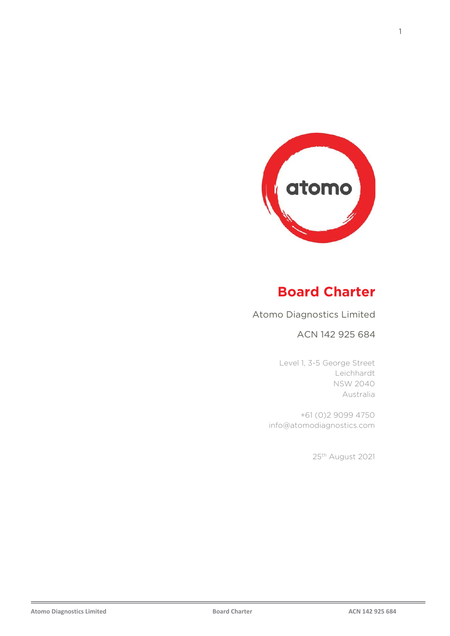

# **Board Charter**

Atomo Diagnostics Limited

### ACN 142 925 684

Level 1, 3-5 George Street Leichhardt NSW 2040 Australia

+61 (0)2 9099 4750 info@atomodiagnostics.com

25th August 2021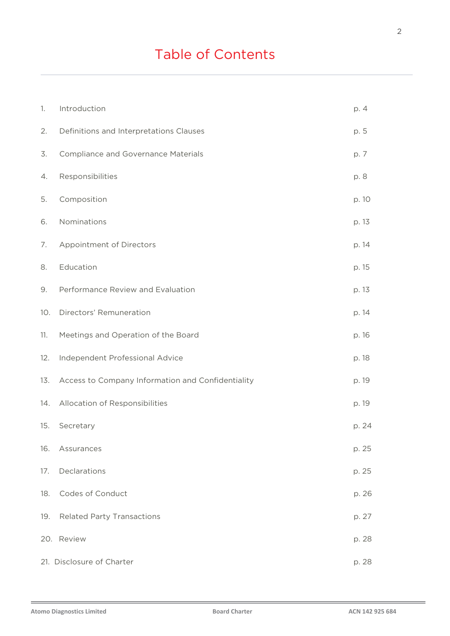# Table of Contents

| 1.  | Introduction                                      | p. 4  |
|-----|---------------------------------------------------|-------|
| 2.  | Definitions and Interpretations Clauses           | p. 5  |
| 3.  | <b>Compliance and Governance Materials</b>        | p. 7  |
| 4.  | Responsibilities                                  | p. 8  |
| 5.  | Composition                                       | p. 10 |
| 6.  | Nominations                                       | p. 13 |
| 7.  | Appointment of Directors                          | p. 14 |
| 8.  | Education                                         | p. 15 |
| 9.  | Performance Review and Evaluation                 | p. 13 |
| 10. | Directors' Remuneration                           | p. 14 |
| 11. | Meetings and Operation of the Board               | p. 16 |
| 12. | Independent Professional Advice                   | p. 18 |
| 13. | Access to Company Information and Confidentiality | p. 19 |
| 14. | Allocation of Responsibilities                    | p. 19 |
| 15. | Secretary                                         | p. 24 |
| 16. | Assurances                                        | p. 25 |
| 17. | Declarations                                      | p. 25 |
| 18. | Codes of Conduct                                  | p. 26 |
| 19. | <b>Related Party Transactions</b>                 | p. 27 |
|     | 20. Review                                        | p. 28 |
|     | 21. Disclosure of Charter                         | p. 28 |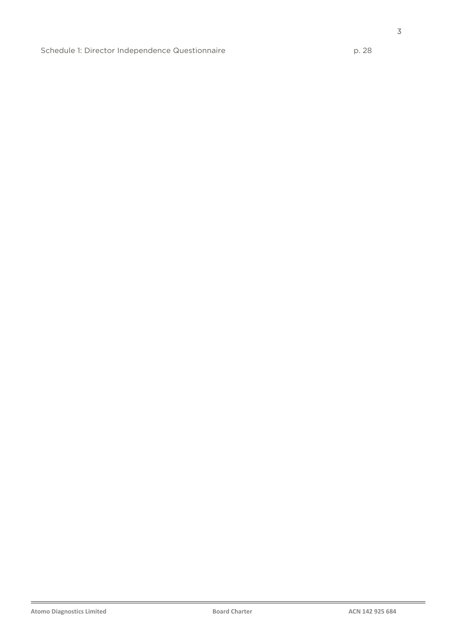3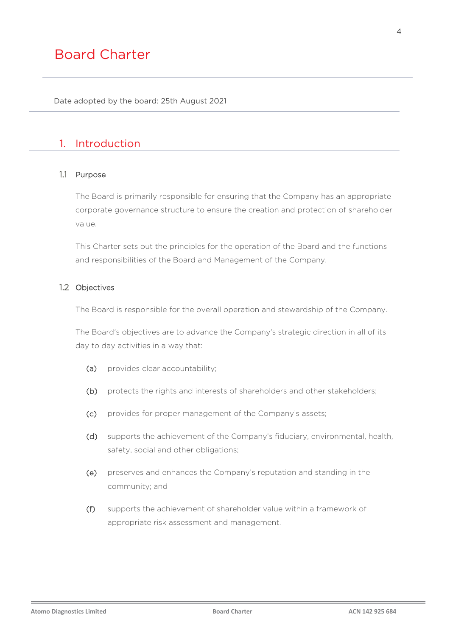Date adopted by the board: 25th August 2021

### 1. Introduction

#### 1.1 Purpose

The Board is primarily responsible for ensuring that the Company has an appropriate corporate governance structure to ensure the creation and protection of shareholder value.

This Charter sets out the principles for the operation of the Board and the functions and responsibilities of the Board and Management of the Company.

#### 1.2 Objectives

The Board is responsible for the overall operation and stewardship of the Company.

The Board's objectives are to advance the Company's strategic direction in all of its day to day activities in a way that:

- (a) provides clear accountability;
- (b) protects the rights and interests of shareholders and other stakeholders;
- (c) provides for proper management of the Company's assets;
- (d) supports the achievement of the Company's fiduciary, environmental, health, safety, social and other obligations;
- (e) preserves and enhances the Company's reputation and standing in the community; and
- (f) supports the achievement of shareholder value within a framework of appropriate risk assessment and management.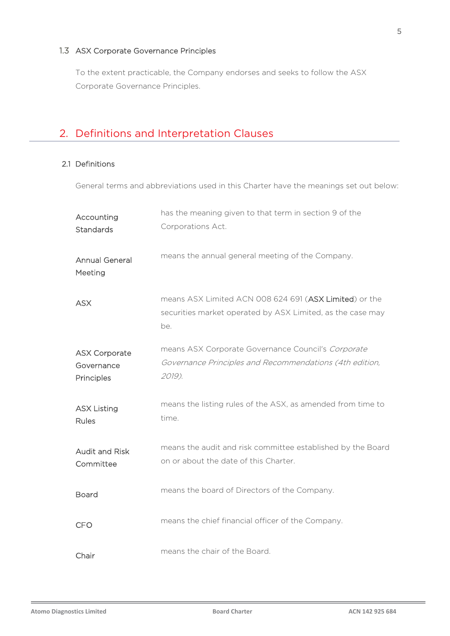### 1.3 ASX Corporate Governance Principles

To the extent practicable, the Company endorses and seeks to follow the ASX Corporate Governance Principles.

# 2. Definitions and Interpretation Clauses

#### 2.1 Definitions

General terms and abbreviations used in this Charter have the meanings set out below:

| Accounting<br>Standards                          | has the meaning given to that term in section 9 of the<br>Corporations Act.                                                 |
|--------------------------------------------------|-----------------------------------------------------------------------------------------------------------------------------|
| <b>Annual General</b><br>Meeting                 | means the annual general meeting of the Company.                                                                            |
| <b>ASX</b>                                       | means ASX Limited ACN 008 624 691 (ASX Limited) or the<br>securities market operated by ASX Limited, as the case may<br>be. |
| <b>ASX Corporate</b><br>Governance<br>Principles | means ASX Corporate Governance Council's Corporate<br>Governance Principles and Recommendations (4th edition,<br>2019).     |
| <b>ASX Listing</b><br>Rules                      | means the listing rules of the ASX, as amended from time to<br>time.                                                        |
| <b>Audit and Risk</b><br>Committee               | means the audit and risk committee established by the Board<br>on or about the date of this Charter.                        |
| <b>Board</b>                                     | means the board of Directors of the Company.                                                                                |
| <b>CFO</b>                                       | means the chief financial officer of the Company.                                                                           |
| Chair                                            | means the chair of the Board.                                                                                               |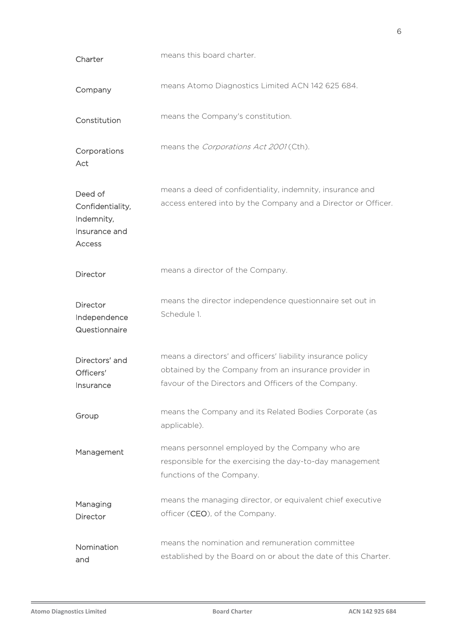| Charter                                                              | means this board charter.                                                                                                                                                    |  |  |
|----------------------------------------------------------------------|------------------------------------------------------------------------------------------------------------------------------------------------------------------------------|--|--|
| Company                                                              | means Atomo Diagnostics Limited ACN 142 625 684.                                                                                                                             |  |  |
| Constitution                                                         | means the Company's constitution.                                                                                                                                            |  |  |
| Corporations<br>Act                                                  | means the Corporations Act 2001 (Cth).                                                                                                                                       |  |  |
| Deed of<br>Confidentiality,<br>Indemnity,<br>Insurance and<br>Access | means a deed of confidentiality, indemnity, insurance and<br>access entered into by the Company and a Director or Officer.                                                   |  |  |
| Director                                                             | means a director of the Company.                                                                                                                                             |  |  |
| Director<br>Independence<br>Questionnaire                            | means the director independence questionnaire set out in<br>Schedule 1.                                                                                                      |  |  |
| Directors' and<br>Officers'<br>Insurance                             | means a directors' and officers' liability insurance policy<br>obtained by the Company from an insurance provider in<br>favour of the Directors and Officers of the Company. |  |  |
| Group                                                                | means the Company and its Related Bodies Corporate (as<br>applicable).                                                                                                       |  |  |
| Management                                                           | means personnel employed by the Company who are<br>responsible for the exercising the day-to-day management<br>functions of the Company.                                     |  |  |
| Managing<br>Director                                                 | means the managing director, or equivalent chief executive<br>officer (CEO), of the Company.                                                                                 |  |  |
| Nomination<br>and                                                    | means the nomination and remuneration committee<br>established by the Board on or about the date of this Charter.                                                            |  |  |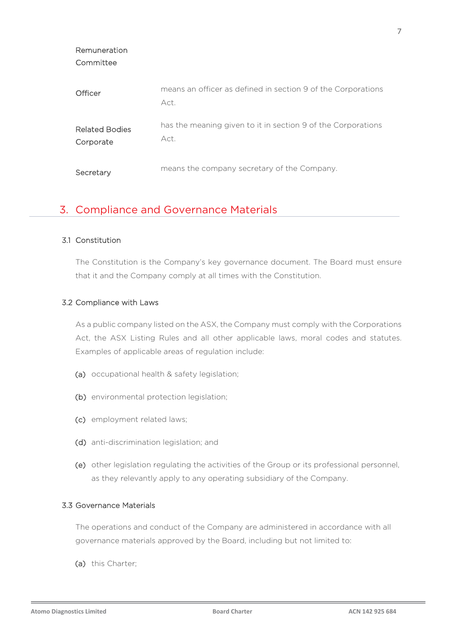| Committee                          |                                                                      |
|------------------------------------|----------------------------------------------------------------------|
| Officer                            | means an officer as defined in section 9 of the Corporations<br>Act. |
| <b>Related Bodies</b><br>Corporate | has the meaning given to it in section 9 of the Corporations<br>Act. |
| Secretary                          | means the company secretary of the Company.                          |

### 3. Compliance and Governance Materials

#### 3.1 Constitution

Remuneration

The Constitution is the Company's key governance document. The Board must ensure that it and the Company comply at all times with the Constitution.

#### 3.2 Compliance with Laws

As a public company listed on the ASX, the Company must comply with the Corporations Act, the ASX Listing Rules and all other applicable laws, moral codes and statutes. Examples of applicable areas of regulation include:

- (a) occupational health & safety legislation;
- (b) environmental protection legislation;
- (c) employment related laws;
- (d) anti-discrimination legislation; and
- (e) other legislation regulating the activities of the Group or its professional personnel, as they relevantly apply to any operating subsidiary of the Company.

#### 3.3 Governance Materials

The operations and conduct of the Company are administered in accordance with all governance materials approved by the Board, including but not limited to:

(a) this Charter;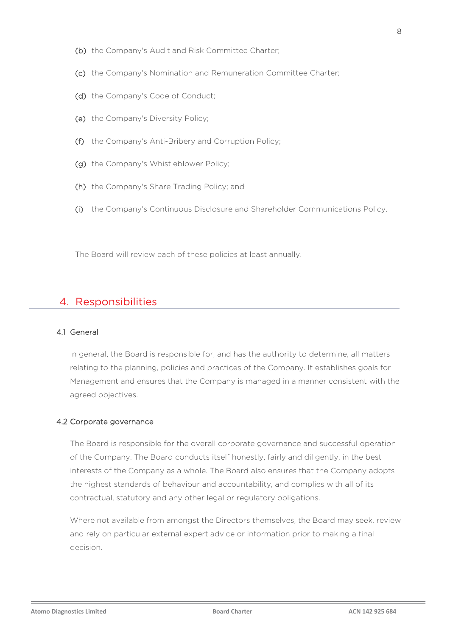- (b) the Company's Audit and Risk Committee Charter;
- (c) the Company's Nomination and Remuneration Committee Charter;
- (d) the Company's Code of Conduct;
- (e) the Company's Diversity Policy;
- (f) the Company's Anti-Bribery and Corruption Policy;
- (g) the Company's Whistleblower Policy;
- (h) the Company's Share Trading Policy; and
- (i) the Company's Continuous Disclosure and Shareholder Communications Policy.

The Board will review each of these policies at least annually.

### 4. Responsibilities

#### 4.1 General

In general, the Board is responsible for, and has the authority to determine, all matters relating to the planning, policies and practices of the Company. It establishes goals for Management and ensures that the Company is managed in a manner consistent with the agreed objectives.

#### 4.2 Corporate governance

The Board is responsible for the overall corporate governance and successful operation of the Company. The Board conducts itself honestly, fairly and diligently, in the best interests of the Company as a whole. The Board also ensures that the Company adopts the highest standards of behaviour and accountability, and complies with all of its contractual, statutory and any other legal or regulatory obligations.

Where not available from amongst the Directors themselves, the Board may seek, review and rely on particular external expert advice or information prior to making a final decision.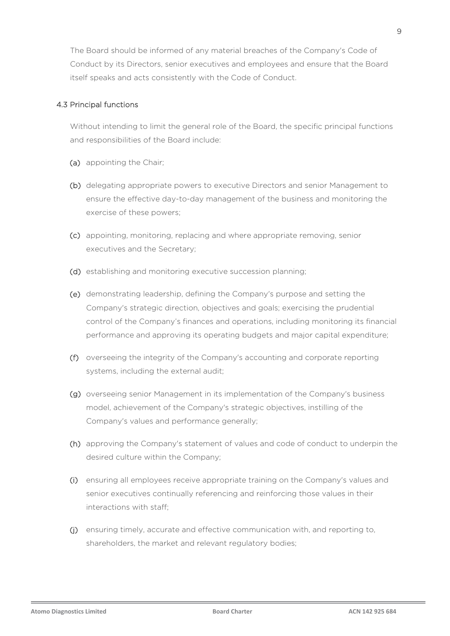The Board should be informed of any material breaches of the Company's Code of Conduct by its Directors, senior executives and employees and ensure that the Board itself speaks and acts consistently with the Code of Conduct.

#### 4.3 Principal functions

Without intending to limit the general role of the Board, the specific principal functions and responsibilities of the Board include:

- (a) appointing the Chair;
- (b) delegating appropriate powers to executive Directors and senior Management to ensure the effective day-to-day management of the business and monitoring the exercise of these powers;
- (c) appointing, monitoring, replacing and where appropriate removing, senior executives and the Secretary;
- (d) establishing and monitoring executive succession planning;
- (e) demonstrating leadership, defining the Company's purpose and setting the Company's strategic direction, objectives and goals; exercising the prudential control of the Company's finances and operations, including monitoring its financial performance and approving its operating budgets and major capital expenditure;
- (f) overseeing the integrity of the Company's accounting and corporate reporting systems, including the external audit;
- (g) overseeing senior Management in its implementation of the Company's business model, achievement of the Company's strategic objectives, instilling of the Company's values and performance generally;
- (h) approving the Company's statement of values and code of conduct to underpin the desired culture within the Company;
- (i) ensuring all employees receive appropriate training on the Company's values and senior executives continually referencing and reinforcing those values in their interactions with staff;
- (j) ensuring timely, accurate and effective communication with, and reporting to, shareholders, the market and relevant regulatory bodies;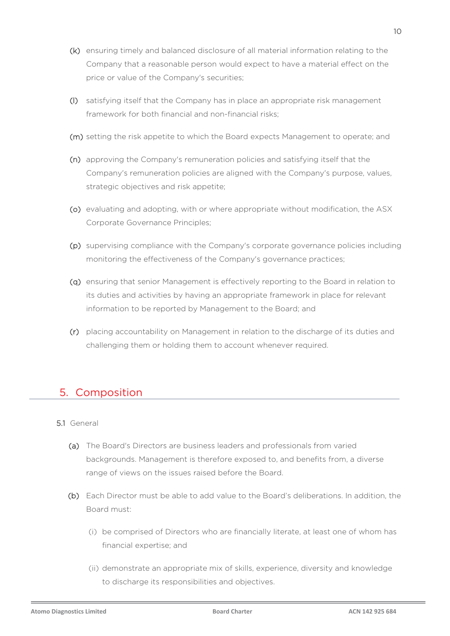- (k) ensuring timely and balanced disclosure of all material information relating to the Company that a reasonable person would expect to have a material effect on the price or value of the Company's securities;
- (l) satisfying itself that the Company has in place an appropriate risk management framework for both financial and non-financial risks;
- (m) setting the risk appetite to which the Board expects Management to operate; and
- (n) approving the Company's remuneration policies and satisfying itself that the Company's remuneration policies are aligned with the Company's purpose, values, strategic objectives and risk appetite;
- (o) evaluating and adopting, with or where appropriate without modification, the ASX Corporate Governance Principles;
- (p) supervising compliance with the Company's corporate governance policies including monitoring the effectiveness of the Company's governance practices;
- (q) ensuring that senior Management is effectively reporting to the Board in relation to its duties and activities by having an appropriate framework in place for relevant information to be reported by Management to the Board; and
- (r) placing accountability on Management in relation to the discharge of its duties and challenging them or holding them to account whenever required.

# 5. Composition

#### 5.1 General

- (a) The Board's Directors are business leaders and professionals from varied backgrounds. Management is therefore exposed to, and benefits from, a diverse range of views on the issues raised before the Board.
- (b) Each Director must be able to add value to the Board's deliberations. In addition, the Board must:
	- (i) be comprised of Directors who are financially literate, at least one of whom has financial expertise; and
	- (ii) demonstrate an appropriate mix of skills, experience, diversity and knowledge to discharge its responsibilities and objectives.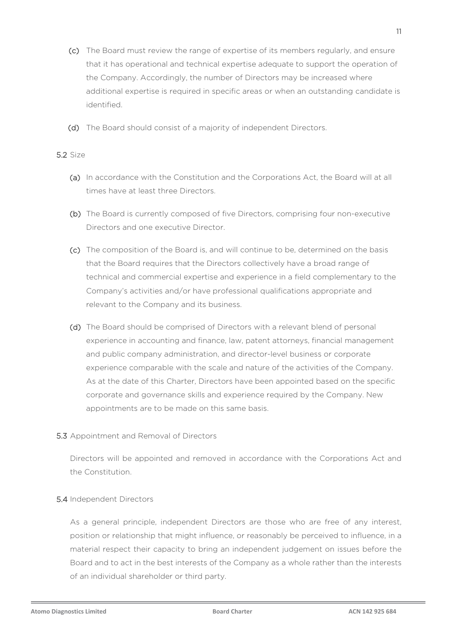- (c) The Board must review the range of expertise of its members regularly, and ensure that it has operational and technical expertise adequate to support the operation of the Company. Accordingly, the number of Directors may be increased where additional expertise is required in specific areas or when an outstanding candidate is identified.
- (d) The Board should consist of a majority of independent Directors.

#### 5.2 Size

- (a) In accordance with the Constitution and the Corporations Act, the Board will at all times have at least three Directors.
- (b) The Board is currently composed of five Directors, comprising four non-executive Directors and one executive Director.
- (c) The composition of the Board is, and will continue to be, determined on the basis that the Board requires that the Directors collectively have a broad range of technical and commercial expertise and experience in a field complementary to the Company's activities and/or have professional qualifications appropriate and relevant to the Company and its business.
- (d) The Board should be comprised of Directors with a relevant blend of personal experience in accounting and finance, law, patent attorneys, financial management and public company administration, and director-level business or corporate experience comparable with the scale and nature of the activities of the Company. As at the date of this Charter, Directors have been appointed based on the specific corporate and governance skills and experience required by the Company. New appointments are to be made on this same basis.
- 5.3 Appointment and Removal of Directors

Directors will be appointed and removed in accordance with the Corporations Act and the Constitution.

#### 5.4 Independent Directors

As a general principle, independent Directors are those who are free of any interest, position or relationship that might influence, or reasonably be perceived to influence, in a material respect their capacity to bring an independent judgement on issues before the Board and to act in the best interests of the Company as a whole rather than the interests of an individual shareholder or third party.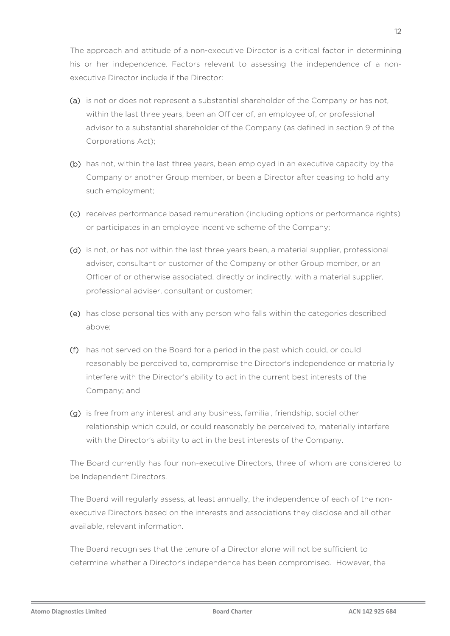The approach and attitude of a non-executive Director is a critical factor in determining his or her independence. Factors relevant to assessing the independence of a nonexecutive Director include if the Director:

- (a) is not or does not represent a substantial shareholder of the Company or has not, within the last three years, been an Officer of, an employee of, or professional advisor to a substantial shareholder of the Company (as defined in section 9 of the Corporations Act);
- (b) has not, within the last three years, been employed in an executive capacity by the Company or another Group member, or been a Director after ceasing to hold any such employment;
- (c) receives performance based remuneration (including options or performance rights) or participates in an employee incentive scheme of the Company;
- (d) is not, or has not within the last three years been, a material supplier, professional adviser, consultant or customer of the Company or other Group member, or an Officer of or otherwise associated, directly or indirectly, with a material supplier, professional adviser, consultant or customer;
- (e) has close personal ties with any person who falls within the categories described above;
- (f) has not served on the Board for a period in the past which could, or could reasonably be perceived to, compromise the Director's independence or materially interfere with the Director's ability to act in the current best interests of the Company; and
- (g) is free from any interest and any business, familial, friendship, social other relationship which could, or could reasonably be perceived to, materially interfere with the Director's ability to act in the best interests of the Company.

The Board currently has four non-executive Directors, three of whom are considered to be Independent Directors.

The Board will regularly assess, at least annually, the independence of each of the nonexecutive Directors based on the interests and associations they disclose and all other available, relevant information.

The Board recognises that the tenure of a Director alone will not be sufficient to determine whether a Director's independence has been compromised. However, the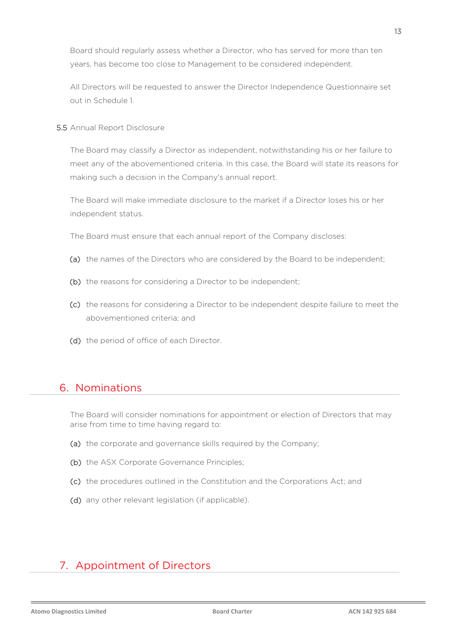Board should regularly assess whether a Director, who has served for more than ten years, has become too close to Management to be considered independent.

All Directors will be requested to answer the Director Independence Questionnaire set out in Schedule 1.

5.5 Annual Report Disclosure

The Board may classify a Director as independent, notwithstanding his or her failure to meet any of the abovementioned criteria. In this case, the Board will state its reasons for making such a decision in the Company's annual report.

The Board will make immediate disclosure to the market if a Director loses his or her independent status.

The Board must ensure that each annual report of the Company discloses:

- (a) the names of the Directors who are considered by the Board to be independent;
- (b) the reasons for considering a Director to be independent;
- (c) the reasons for considering a Director to be independent despite failure to meet the abovementioned criteria; and
- (d) the period of office of each Director.

### 6. Nominations

The Board will consider nominations for appointment or election of Directors that may arise from time to time having regard to:

- (a) the corporate and governance skills required by the Company;
- (b) the ASX Corporate Governance Principles;
- (c) the procedures outlined in the Constitution and the Corporations Act; and
- (d) any other relevant legislation (if applicable).

# 7. Appointment of Directors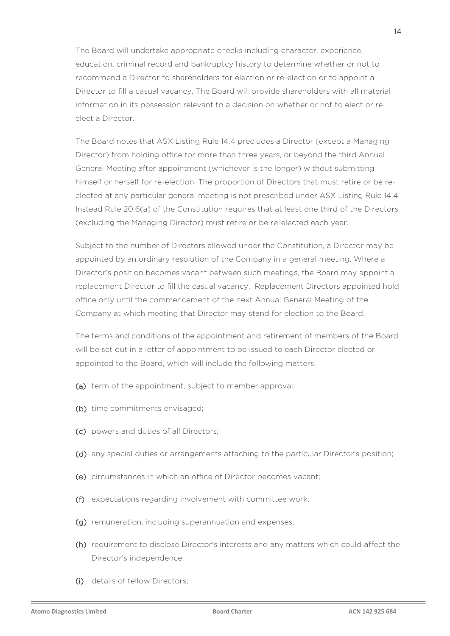The Board will undertake appropriate checks including character, experience, education, criminal record and bankruptcy history to determine whether or not to recommend a Director to shareholders for election or re-election or to appoint a Director to fill a casual vacancy. The Board will provide shareholders with all material information in its possession relevant to a decision on whether or not to elect or reelect a Director.

The Board notes that ASX Listing Rule 14.4 precludes a Director (except a Managing Director) from holding office for more than three years, or beyond the third Annual General Meeting after appointment (whichever is the longer) without submitting himself or herself for re-election. The proportion of Directors that must retire or be reelected at any particular general meeting is not prescribed under ASX Listing Rule 14.4. Instead Rule 20.6(a) of the Constitution requires that at least one third of the Directors (excluding the Managing Director) must retire or be re-elected each year.

Subject to the number of Directors allowed under the Constitution, a Director may be appointed by an ordinary resolution of the Company in a general meeting. Where a Director's position becomes vacant between such meetings, the Board may appoint a replacement Director to fill the casual vacancy. Replacement Directors appointed hold office only until the commencement of the next Annual General Meeting of the Company at which meeting that Director may stand for election to the Board.

The terms and conditions of the appointment and retirement of members of the Board will be set out in a letter of appointment to be issued to each Director elected or appointed to the Board, which will include the following matters:

- (a) term of the appointment, subject to member approval;
- (b) time commitments envisaged;
- (c) powers and duties of all Directors;
- (d) any special duties or arrangements attaching to the particular Director's position;
- (e) circumstances in which an office of Director becomes vacant;
- (f) expectations regarding involvement with committee work;
- (g) remuneration, including superannuation and expenses;
- (h) requirement to disclose Director's interests and any matters which could affect the Director's independence;
- (i) details of fellow Directors;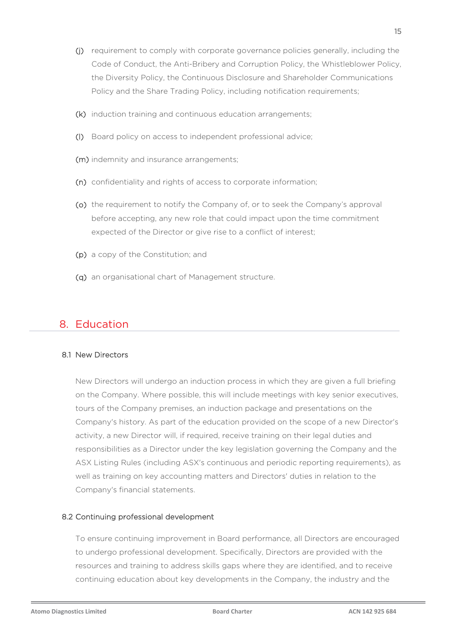- (j) requirement to comply with corporate governance policies generally, including the Code of Conduct, the Anti-Bribery and Corruption Policy, the Whistleblower Policy, the Diversity Policy, the Continuous Disclosure and Shareholder Communications Policy and the Share Trading Policy, including notification requirements;
- (k) induction training and continuous education arrangements;
- (l) Board policy on access to independent professional advice;
- (m) indemnity and insurance arrangements;
- (n) confidentiality and rights of access to corporate information;
- (o) the requirement to notify the Company of, or to seek the Company's approval before accepting, any new role that could impact upon the time commitment expected of the Director or give rise to a conflict of interest;
- (p) a copy of the Constitution; and
- (q) an organisational chart of Management structure.

### 8. Education

#### 8.1 New Directors

New Directors will undergo an induction process in which they are given a full briefing on the Company. Where possible, this will include meetings with key senior executives, tours of the Company premises, an induction package and presentations on the Company's history. As part of the education provided on the scope of a new Director's activity, a new Director will, if required, receive training on their legal duties and responsibilities as a Director under the key legislation governing the Company and the ASX Listing Rules (including ASX's continuous and periodic reporting requirements), as well as training on key accounting matters and Directors' duties in relation to the Company's financial statements.

#### 8.2 Continuing professional development

To ensure continuing improvement in Board performance, all Directors are encouraged to undergo professional development. Specifically, Directors are provided with the resources and training to address skills gaps where they are identified, and to receive continuing education about key developments in the Company, the industry and the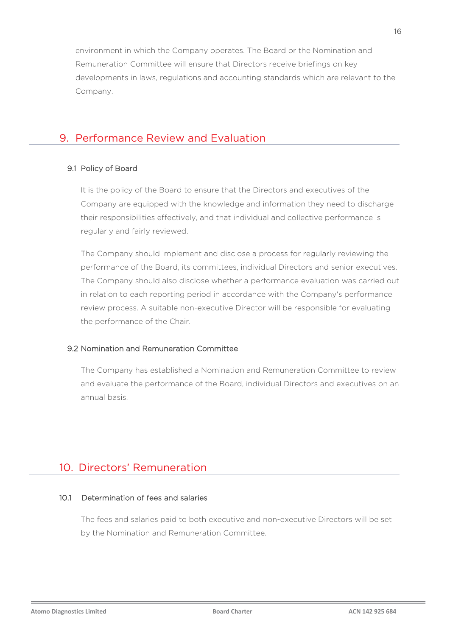environment in which the Company operates. The Board or the Nomination and Remuneration Committee will ensure that Directors receive briefings on key developments in laws, regulations and accounting standards which are relevant to the Company.

### 9. Performance Review and Evaluation

#### 9.1 Policy of Board

It is the policy of the Board to ensure that the Directors and executives of the Company are equipped with the knowledge and information they need to discharge their responsibilities effectively, and that individual and collective performance is regularly and fairly reviewed.

The Company should implement and disclose a process for regularly reviewing the performance of the Board, its committees, individual Directors and senior executives. The Company should also disclose whether a performance evaluation was carried out in relation to each reporting period in accordance with the Company's performance review process. A suitable non-executive Director will be responsible for evaluating the performance of the Chair.

#### 9.2 Nomination and Remuneration Committee

The Company has established a Nomination and Remuneration Committee to review and evaluate the performance of the Board, individual Directors and executives on an annual basis.

### 10. Directors' Remuneration

### 10.1 Determination of fees and salaries

The fees and salaries paid to both executive and non-executive Directors will be set by the Nomination and Remuneration Committee.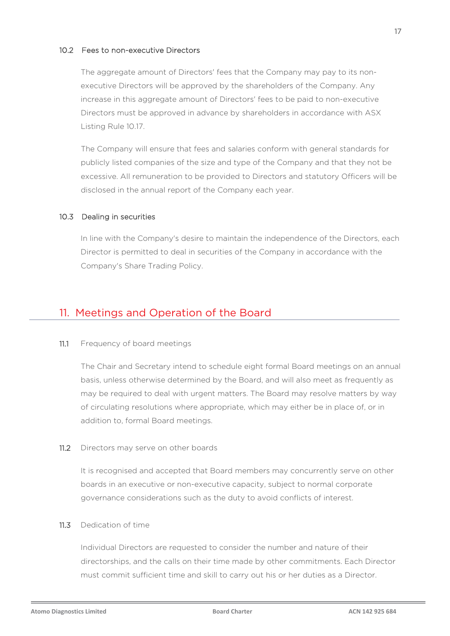#### 10.2 Fees to non-executive Directors

The aggregate amount of Directors' fees that the Company may pay to its nonexecutive Directors will be approved by the shareholders of the Company. Any increase in this aggregate amount of Directors' fees to be paid to non-executive Directors must be approved in advance by shareholders in accordance with ASX Listing Rule 10.17.

The Company will ensure that fees and salaries conform with general standards for publicly listed companies of the size and type of the Company and that they not be excessive. All remuneration to be provided to Directors and statutory Officers will be disclosed in the annual report of the Company each year.

#### 10.3 Dealing in securities

In line with the Company's desire to maintain the independence of the Directors, each Director is permitted to deal in securities of the Company in accordance with the Company's Share Trading Policy.

### 11. Meetings and Operation of the Board

#### 11.1 Frequency of board meetings

The Chair and Secretary intend to schedule eight formal Board meetings on an annual basis, unless otherwise determined by the Board, and will also meet as frequently as may be required to deal with urgent matters. The Board may resolve matters by way of circulating resolutions where appropriate, which may either be in place of, or in addition to, formal Board meetings.

11.2 Directors may serve on other boards

It is recognised and accepted that Board members may concurrently serve on other boards in an executive or non-executive capacity, subject to normal corporate governance considerations such as the duty to avoid conflicts of interest.

#### 11.3 Dedication of time

Individual Directors are requested to consider the number and nature of their directorships, and the calls on their time made by other commitments. Each Director must commit sufficient time and skill to carry out his or her duties as a Director.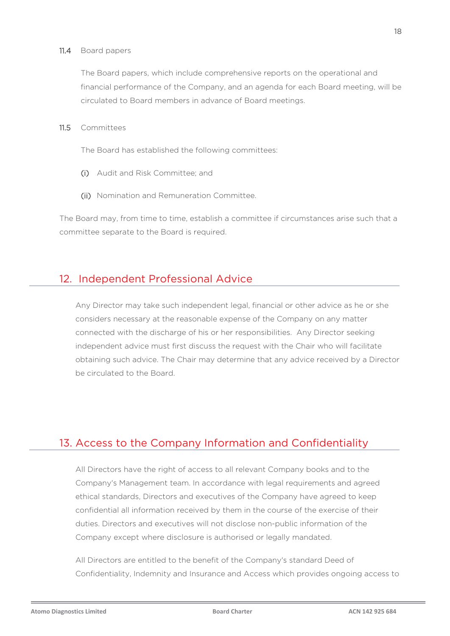#### 11.4 Board papers

The Board papers, which include comprehensive reports on the operational and financial performance of the Company, and an agenda for each Board meeting, will be circulated to Board members in advance of Board meetings.

11.5 Committees

The Board has established the following committees:

- (i) Audit and Risk Committee; and
- (ii) Nomination and Remuneration Committee.

The Board may, from time to time, establish a committee if circumstances arise such that a committee separate to the Board is required.

### 12. Independent Professional Advice

Any Director may take such independent legal, financial or other advice as he or she considers necessary at the reasonable expense of the Company on any matter connected with the discharge of his or her responsibilities. Any Director seeking independent advice must first discuss the request with the Chair who will facilitate obtaining such advice. The Chair may determine that any advice received by a Director be circulated to the Board.

# 13. Access to the Company Information and Confidentiality

All Directors have the right of access to all relevant Company books and to the Company's Management team. In accordance with legal requirements and agreed ethical standards, Directors and executives of the Company have agreed to keep confidential all information received by them in the course of the exercise of their duties. Directors and executives will not disclose non-public information of the Company except where disclosure is authorised or legally mandated.

All Directors are entitled to the benefit of the Company's standard Deed of Confidentiality, Indemnity and Insurance and Access which provides ongoing access to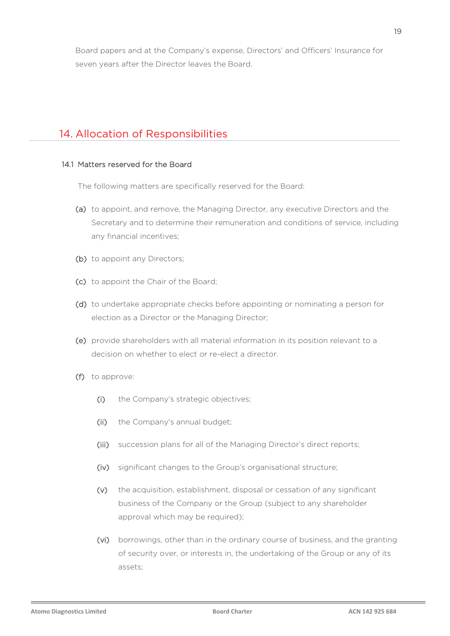Board papers and at the Company's expense, Directors' and Officers' Insurance for seven years after the Director leaves the Board.

### 14. Allocation of Responsibilities

#### 14.1 Matters reserved for the Board

The following matters are specifically reserved for the Board:

- (a) to appoint, and remove, the Managing Director, any executive Directors and the Secretary and to determine their remuneration and conditions of service, including any financial incentives;
- (b) to appoint any Directors;
- (c) to appoint the Chair of the Board;
- (d) to undertake appropriate checks before appointing or nominating a person for election as a Director or the Managing Director;
- (e) provide shareholders with all material information in its position relevant to a decision on whether to elect or re-elect a director.
- (f) to approve:
	- (i) the Company's strategic objectives;
	- (ii) the Company's annual budget;
	- (iii) succession plans for all of the Managing Director's direct reports;
	- (iv) significant changes to the Group's organisational structure;
	- (v) the acquisition, establishment, disposal or cessation of any significant business of the Company or the Group (subject to any shareholder approval which may be required);
	- (vi) borrowings, other than in the ordinary course of business, and the granting of security over, or interests in, the undertaking of the Group or any of its assets;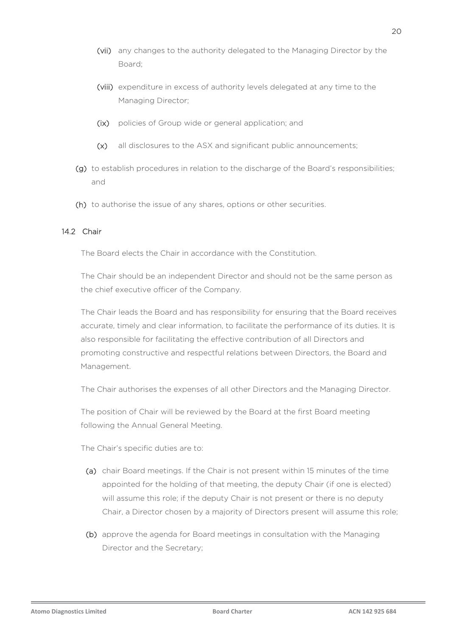- (vii) any changes to the authority delegated to the Managing Director by the Board;
- (viii) expenditure in excess of authority levels delegated at any time to the Managing Director;
- (ix) policies of Group wide or general application; and
- (x) all disclosures to the ASX and significant public announcements;
- (g) to establish procedures in relation to the discharge of the Board's responsibilities; and
- (h) to authorise the issue of any shares, options or other securities.

#### 14.2 Chair

The Board elects the Chair in accordance with the Constitution.

The Chair should be an independent Director and should not be the same person as the chief executive officer of the Company.

The Chair leads the Board and has responsibility for ensuring that the Board receives accurate, timely and clear information, to facilitate the performance of its duties. It is also responsible for facilitating the effective contribution of all Directors and promoting constructive and respectful relations between Directors, the Board and Management.

The Chair authorises the expenses of all other Directors and the Managing Director.

The position of Chair will be reviewed by the Board at the first Board meeting following the Annual General Meeting.

The Chair's specific duties are to:

- (a) chair Board meetings. If the Chair is not present within 15 minutes of the time appointed for the holding of that meeting, the deputy Chair (if one is elected) will assume this role; if the deputy Chair is not present or there is no deputy Chair, a Director chosen by a majority of Directors present will assume this role;
- (b) approve the agenda for Board meetings in consultation with the Managing Director and the Secretary;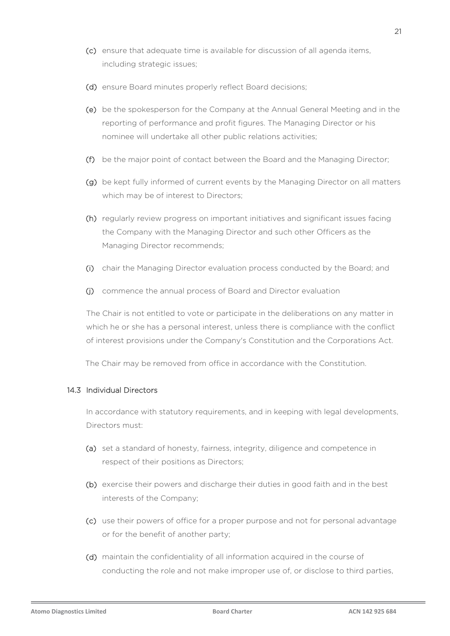- (c) ensure that adequate time is available for discussion of all agenda items, including strategic issues;
- (d) ensure Board minutes properly reflect Board decisions;
- (e) be the spokesperson for the Company at the Annual General Meeting and in the reporting of performance and profit figures. The Managing Director or his nominee will undertake all other public relations activities;
- (f) be the major point of contact between the Board and the Managing Director;
- (g) be kept fully informed of current events by the Managing Director on all matters which may be of interest to Directors;
- (h) regularly review progress on important initiatives and significant issues facing the Company with the Managing Director and such other Officers as the Managing Director recommends;
- (i) chair the Managing Director evaluation process conducted by the Board; and
- (j) commence the annual process of Board and Director evaluation

The Chair is not entitled to vote or participate in the deliberations on any matter in which he or she has a personal interest, unless there is compliance with the conflict of interest provisions under the Company's Constitution and the Corporations Act.

The Chair may be removed from office in accordance with the Constitution.

#### 14.3 Individual Directors

In accordance with statutory requirements, and in keeping with legal developments, Directors must:

- (a) set a standard of honesty, fairness, integrity, diligence and competence in respect of their positions as Directors;
- (b) exercise their powers and discharge their duties in good faith and in the best interests of the Company;
- (c) use their powers of office for a proper purpose and not for personal advantage or for the benefit of another party;
- (d) maintain the confidentiality of all information acquired in the course of conducting the role and not make improper use of, or disclose to third parties,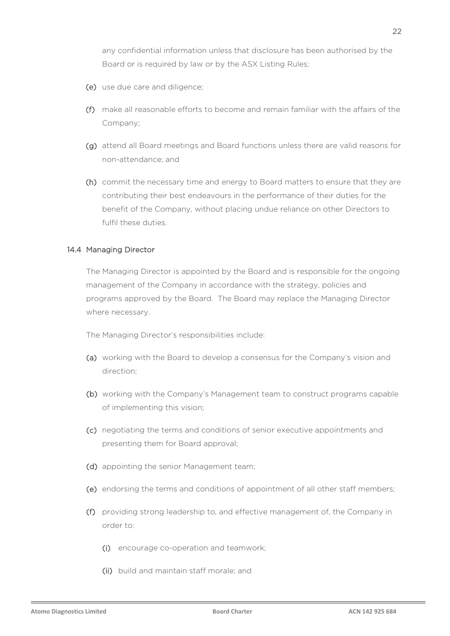any confidential information unless that disclosure has been authorised by the Board or is required by law or by the ASX Listing Rules;

- (e) use due care and diligence;
- (f) make all reasonable efforts to become and remain familiar with the affairs of the Company;
- (g) attend all Board meetings and Board functions unless there are valid reasons for non-attendance; and
- (h) commit the necessary time and energy to Board matters to ensure that they are contributing their best endeavours in the performance of their duties for the benefit of the Company, without placing undue reliance on other Directors to fulfil these duties.

#### 14.4 Managing Director

The Managing Director is appointed by the Board and is responsible for the ongoing management of the Company in accordance with the strategy, policies and programs approved by the Board. The Board may replace the Managing Director where necessary.

The Managing Director's responsibilities include:

- (a) working with the Board to develop a consensus for the Company's vision and direction;
- (b) working with the Company's Management team to construct programs capable of implementing this vision;
- (c) negotiating the terms and conditions of senior executive appointments and presenting them for Board approval;
- (d) appointing the senior Management team;
- (e) endorsing the terms and conditions of appointment of all other staff members;
- (f) providing strong leadership to, and effective management of, the Company in order to:
	- (i) encourage co-operation and teamwork;
	- (ii) build and maintain staff morale; and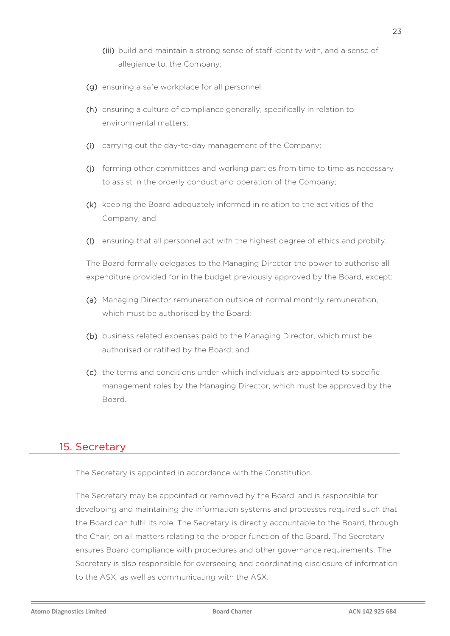- (iii) build and maintain a strong sense of staff identity with, and a sense of allegiance to, the Company;
- (g) ensuring a safe workplace for all personnel;
- (h) ensuring a culture of compliance generally, specifically in relation to environmental matters;
- (i) carrying out the day-to-day management of the Company;
- (j) forming other committees and working parties from time to time as necessary to assist in the orderly conduct and operation of the Company;
- (k) keeping the Board adequately informed in relation to the activities of the Company; and
- (l) ensuring that all personnel act with the highest degree of ethics and probity.

The Board formally delegates to the Managing Director the power to authorise all expenditure provided for in the budget previously approved by the Board, except:

- (a) Managing Director remuneration outside of normal monthly remuneration, which must be authorised by the Board;
- (b) business related expenses paid to the Managing Director, which must be authorised or ratified by the Board; and
- (c) the terms and conditions under which individuals are appointed to specific management roles by the Managing Director, which must be approved by the Board.

### 15. Secretary

The Secretary is appointed in accordance with the Constitution.

The Secretary may be appointed or removed by the Board, and is responsible for developing and maintaining the information systems and processes required such that the Board can fulfil its role. The Secretary is directly accountable to the Board, through the Chair, on all matters relating to the proper function of the Board. The Secretary ensures Board compliance with procedures and other governance requirements. The Secretary is also responsible for overseeing and coordinating disclosure of information to the ASX, as well as communicating with the ASX.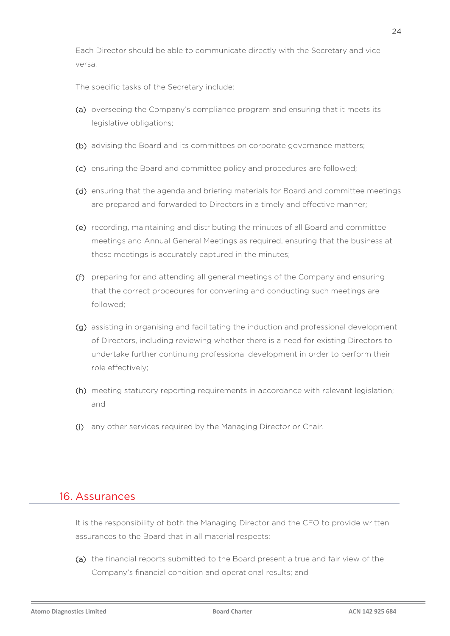Each Director should be able to communicate directly with the Secretary and vice versa.

The specific tasks of the Secretary include:

- (a) overseeing the Company's compliance program and ensuring that it meets its legislative obligations;
- (b) advising the Board and its committees on corporate governance matters;
- (c) ensuring the Board and committee policy and procedures are followed;
- (d) ensuring that the agenda and briefing materials for Board and committee meetings are prepared and forwarded to Directors in a timely and effective manner;
- (e) recording, maintaining and distributing the minutes of all Board and committee meetings and Annual General Meetings as required, ensuring that the business at these meetings is accurately captured in the minutes;
- (f) preparing for and attending all general meetings of the Company and ensuring that the correct procedures for convening and conducting such meetings are followed;
- (g) assisting in organising and facilitating the induction and professional development of Directors, including reviewing whether there is a need for existing Directors to undertake further continuing professional development in order to perform their role effectively;
- (h) meeting statutory reporting requirements in accordance with relevant legislation; and
- (i) any other services required by the Managing Director or Chair.

### 16. Assurances

It is the responsibility of both the Managing Director and the CFO to provide written assurances to the Board that in all material respects:

(a) the financial reports submitted to the Board present a true and fair view of the Company's financial condition and operational results; and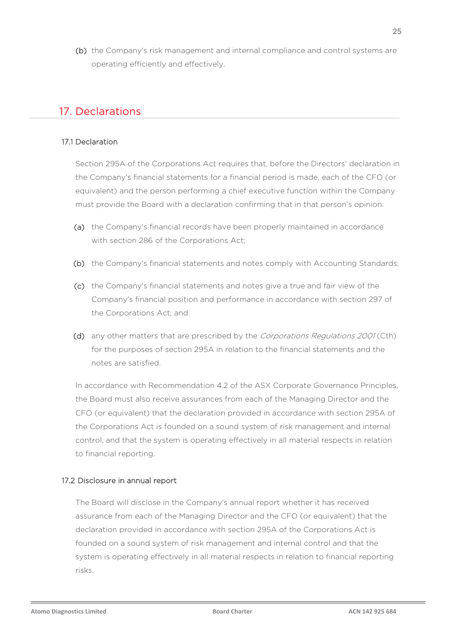(b) the Company's risk management and internal compliance and control systems are operating efficiently and effectively.

### 17. Declarations

#### 17.1 Declaration

Section 295A of the Corporations Act requires that, before the Directors' declaration in the Company's financial statements for a financial period is made, each of the CFO (or equivalent) and the person performing a chief executive function within the Company must provide the Board with a declaration confirming that in that person's opinion:

- (a) the Company's financial records have been properly maintained in accordance with section 286 of the Corporations Act;
- (b) the Company's financial statements and notes comply with Accounting Standards;
- (c) the Company's financial statements and notes give a true and fair view of the Company's financial position and performance in accordance with section 297 of the Corporations Act; and
- (d) any other matters that are prescribed by the Corporations Regulations 2001 (Cth) for the purposes of section 295A in relation to the financial statements and the notes are satisfied.

In accordance with Recommendation 4.2 of the ASX Corporate Governance Principles, the Board must also receive assurances from each of the Managing Director and the CFO (or equivalent) that the declaration provided in accordance with section 295A of the Corporations Act is founded on a sound system of risk management and internal control, and that the system is operating effectively in all material respects in relation to financial reporting.

#### 17.2 Disclosure in annual report

The Board will disclose in the Company's annual report whether it has received assurance from each of the Managing Director and the CFO (or equivalent) that the declaration provided in accordance with section 295A of the Corporations Act is founded on a sound system of risk management and internal control and that the system is operating effectively in all material respects in relation to financial reporting risks.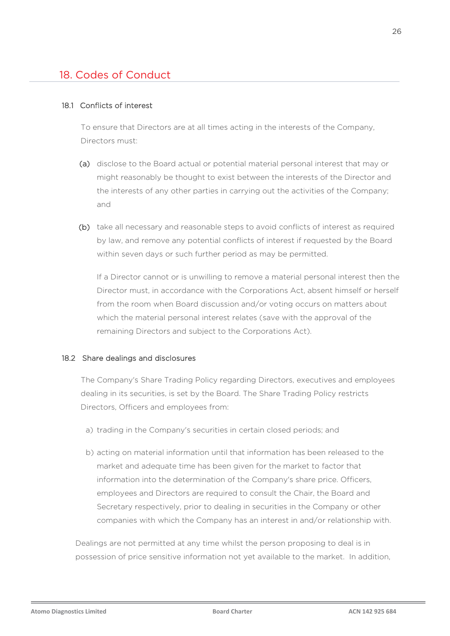# 18. Codes of Conduct

#### 18.1 Conflicts of interest

To ensure that Directors are at all times acting in the interests of the Company, Directors must:

- (a) disclose to the Board actual or potential material personal interest that may or might reasonably be thought to exist between the interests of the Director and the interests of any other parties in carrying out the activities of the Company; and
- (b) take all necessary and reasonable steps to avoid conflicts of interest as required by law, and remove any potential conflicts of interest if requested by the Board within seven days or such further period as may be permitted.

If a Director cannot or is unwilling to remove a material personal interest then the Director must, in accordance with the Corporations Act, absent himself or herself from the room when Board discussion and/or voting occurs on matters about which the material personal interest relates (save with the approval of the remaining Directors and subject to the Corporations Act).

#### 18.2 Share dealings and disclosures

The Company's Share Trading Policy regarding Directors, executives and employees dealing in its securities, is set by the Board. The Share Trading Policy restricts Directors, Officers and employees from:

- a) trading in the Company's securities in certain closed periods; and
- b) acting on material information until that information has been released to the market and adequate time has been given for the market to factor that information into the determination of the Company's share price. Officers, employees and Directors are required to consult the Chair, the Board and Secretary respectively, prior to dealing in securities in the Company or other companies with which the Company has an interest in and/or relationship with.

Dealings are not permitted at any time whilst the person proposing to deal is in possession of price sensitive information not yet available to the market. In addition,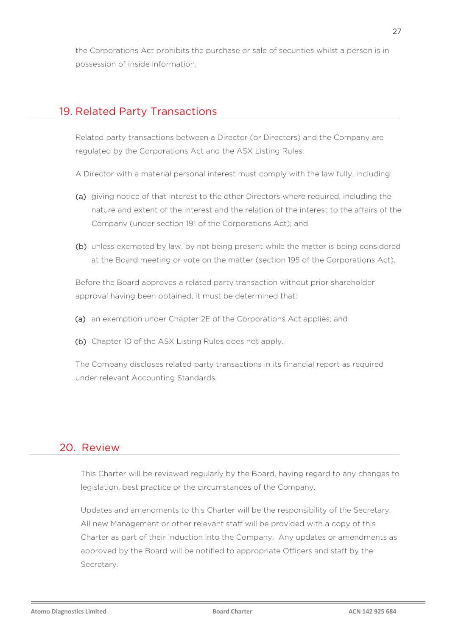the Corporations Act prohibits the purchase or sale of securities whilst a person is in possession of inside information.

### 19. Related Party Transactions

Related party transactions between a Director (or Directors) and the Company are regulated by the Corporations Act and the ASX Listing Rules.

- A Director with a material personal interest must comply with the law fully, including:
- (a) giving notice of that interest to the other Directors where required, including the nature and extent of the interest and the relation of the interest to the affairs of the Company (under section 191 of the Corporations Act); and
- (b) unless exempted by law, by not being present while the matter is being considered at the Board meeting or vote on the matter (section 195 of the Corporations Act).

Before the Board approves a related party transaction without prior shareholder approval having been obtained, it must be determined that:

- (a) an exemption under Chapter 2E of the Corporations Act applies; and
- (b) Chapter 10 of the ASX Listing Rules does not apply.

The Company discloses related party transactions in its financial report as required under relevant Accounting Standards.

### 20. Review

This Charter will be reviewed regularly by the Board, having regard to any changes to legislation, best practice or the circumstances of the Company.

Updates and amendments to this Charter will be the responsibility of the Secretary. All new Management or other relevant staff will be provided with a copy of this Charter as part of their induction into the Company. Any updates or amendments as approved by the Board will be notified to appropriate Officers and staff by the Secretary.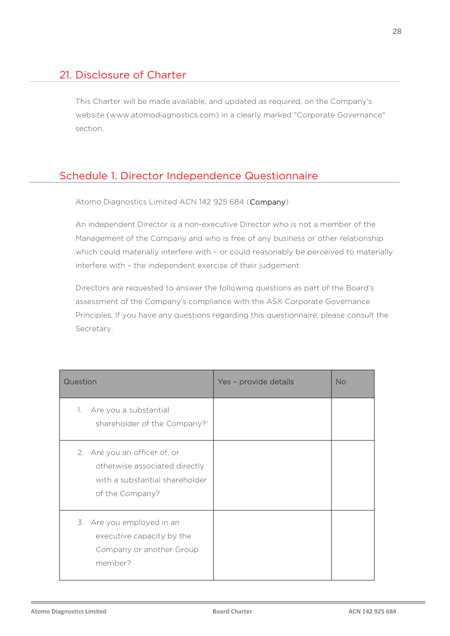# 21. Disclosure of Charter

This Charter will be made available, and updated as required, on the Company's website (www.atomodiagnostics.com) in a clearly marked "Corporate Governance" section.

# Schedule 1. Director Independence Questionnaire

Atomo Diagnostics Limited ACN 142 925 684 (Company)

An independent Director is a non-executive Director who is not a member of the Management of the Company and who is free of any business or other relationship which could materially interfere with - or could reasonably be perceived to materially interfere with – the independent exercise of their judgement.

Directors are requested to answer the following questions as part of the Board's assessment of the Company's compliance with the ASX Corporate Governance Principles. If you have any questions regarding this questionnaire, please consult the Secretary.

| Question                                                                                                           | Yes - provide details | <b>No</b> |
|--------------------------------------------------------------------------------------------------------------------|-----------------------|-----------|
| Are you a substantial<br>1.<br>shareholder of the Company?i                                                        |                       |           |
| 2. Are you an officer of, or<br>otherwise associated directly<br>with a substantial shareholder<br>of the Company? |                       |           |
| 3. Are you employed in an<br>executive capacity by the<br>Company or another Group<br>member?                      |                       |           |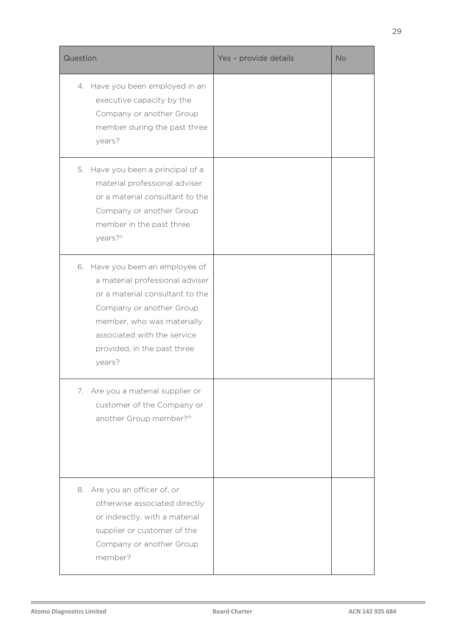| Question                                                                                                                                                                                                                                | Yes - provide details | <b>No</b> |
|-----------------------------------------------------------------------------------------------------------------------------------------------------------------------------------------------------------------------------------------|-----------------------|-----------|
| 4. Have you been employed in an<br>executive capacity by the<br>Company or another Group<br>member during the past three<br>years?                                                                                                      |                       |           |
| 5. Have you been a principal of a<br>material professional adviser<br>or a material consultant to the<br>Company or another Group<br>member in the past three<br>years?ii                                                               |                       |           |
| 6. Have you been an employee of<br>a material professional adviser<br>or a material consultant to the<br>Company or another Group<br>member, who was materially<br>associated with the service<br>provided, in the past three<br>years? |                       |           |
| 7. Are you a material supplier or<br>customer of the Company or<br>another Group member?iii                                                                                                                                             |                       |           |
| 8. Are you an officer of, or<br>otherwise associated directly<br>or indirectly, with a material<br>supplier or customer of the<br>Company or another Group<br>member?                                                                   |                       |           |

í,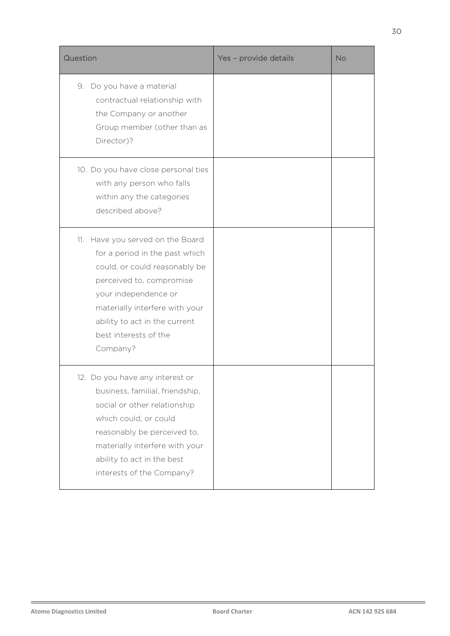| Question                                                                                                                                                                                                                                                        | Yes - provide details | <b>No</b> |
|-----------------------------------------------------------------------------------------------------------------------------------------------------------------------------------------------------------------------------------------------------------------|-----------------------|-----------|
| 9. Do you have a material<br>contractual relationship with<br>the Company or another<br>Group member (other than as<br>Director)?                                                                                                                               |                       |           |
| 10. Do you have close personal ties<br>with any person who falls<br>within any the categories<br>described above?                                                                                                                                               |                       |           |
| 11. Have you served on the Board<br>for a period in the past which<br>could, or could reasonably be<br>perceived to, compromise<br>your independence or<br>materially interfere with your<br>ability to act in the current<br>best interests of the<br>Company? |                       |           |
| 12. Do you have any interest or<br>business, familial, friendship,<br>social or other relationship<br>which could, or could<br>reasonably be perceived to,<br>materially interfere with your<br>ability to act in the best<br>interests of the Company?         |                       |           |

L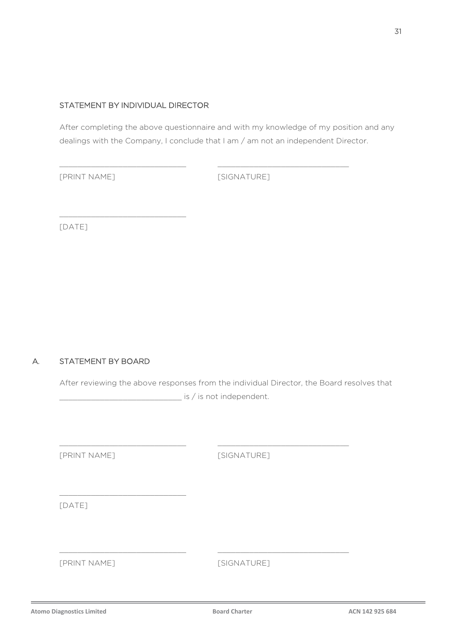### STATEMENT BY INDIVIDUAL DIRECTOR

\_\_\_\_\_\_\_\_\_\_\_\_\_\_\_\_\_\_\_\_\_\_\_\_\_\_\_\_

After completing the above questionnaire and with my knowledge of my position and any dealings with the Company, I conclude that I am / am not an independent Director.

\_\_\_\_\_\_\_\_\_\_\_\_\_\_\_\_\_\_\_\_\_\_\_\_\_\_\_\_ \_\_\_\_\_\_\_\_\_\_\_\_\_\_\_\_\_\_\_\_\_\_\_\_\_\_\_\_\_

[PRINT NAME] [SIGNATURE]

[DATE]

### A. STATEMENT BY BOARD

After reviewing the above responses from the individual Director, the Board resolves that  $\frac{1}{\sqrt{1-\frac{1}{\sqrt{1-\frac{1}{\sqrt{1-\frac{1}{\sqrt{1-\frac{1}{\sqrt{1-\frac{1}{\sqrt{1-\frac{1}{\sqrt{1-\frac{1}{\sqrt{1-\frac{1}{\sqrt{1-\frac{1}{\sqrt{1-\frac{1}{\sqrt{1-\frac{1}{\sqrt{1-\frac{1}{\sqrt{1-\frac{1}{\sqrt{1-\frac{1}{\sqrt{1-\frac{1}{\sqrt{1-\frac{1}{\sqrt{1-\frac{1}{\sqrt{1-\frac{1}{\sqrt{1-\frac{1}{\sqrt{1-\frac{1}{\sqrt{1-\frac{1}{\sqrt{1-\frac{1}{\sqrt{1-\frac{1}{\sqrt{1-\frac{1$ 

 $\_$  , and the set of the set of the set of the set of the set of the set of the set of the set of the set of the set of the set of the set of the set of the set of the set of the set of the set of the set of the set of th

 $\_$  , and the set of the set of the set of the set of the set of the set of the set of the set of the set of the set of the set of the set of the set of the set of the set of the set of the set of the set of the set of th

[PRINT NAME] [SIGNATURE]

\_\_\_\_\_\_\_\_\_\_\_\_\_\_\_\_\_\_\_\_\_\_\_\_\_\_\_\_

[DATE]

[PRINT NAME] [SIGNATURE]